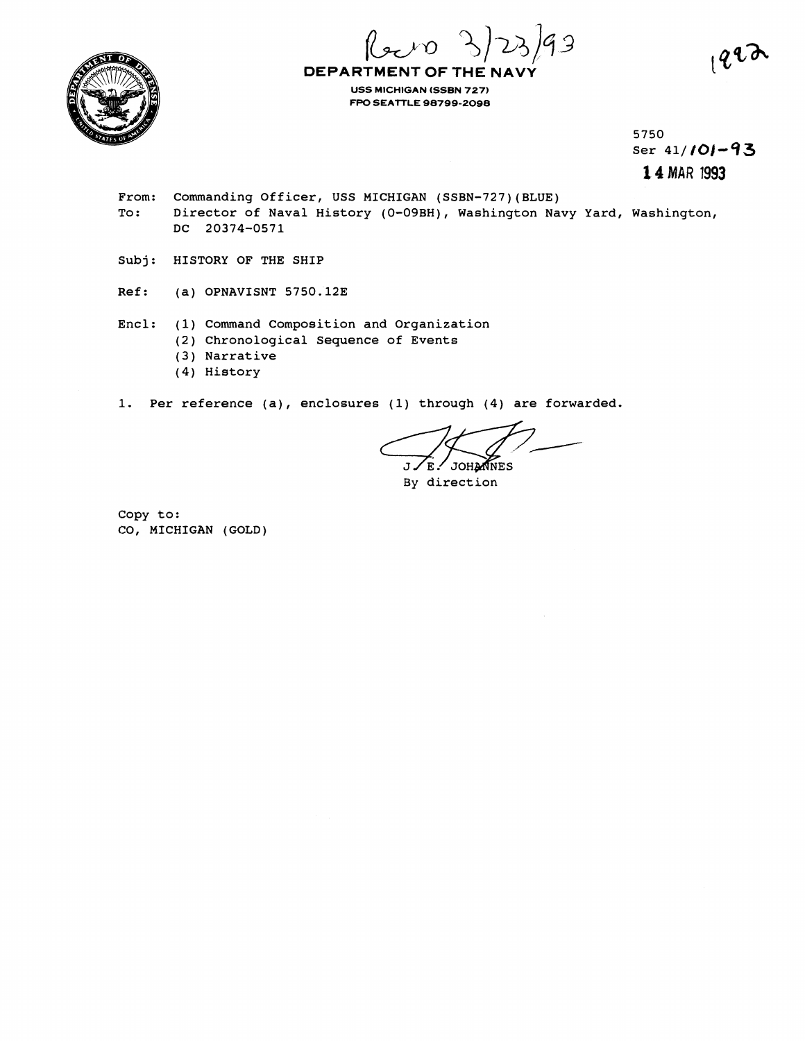$99$ 



**DEPARTMENT OF THE NAVY USS MICHIGAN (SSBN 727) FPO SEATTLE 98799-2098** 

> 5750 ser 41/101-93 **1 4 MAR 1993**

- From: Commanding Officer, USS MICHIGAN (SSBN-727)(BLUE) To: Director of Naval History (0-09BH), Washington Navy Yard, Washington, DC 20374-0571
- Subj: HISTORY OF THE SHIP
- Ref: (a) OPNAVISNT 5750.12E
- Encl: (1) Command Composition and Organization (2) Chronological Sequence of Events (3) Narrative
	- (4) History

1. Per reference (a), enclosures (1) through (4) are forwarded.

E. JOHANNES

By direction

Copy to: CO, MICHIGAN (GOLD)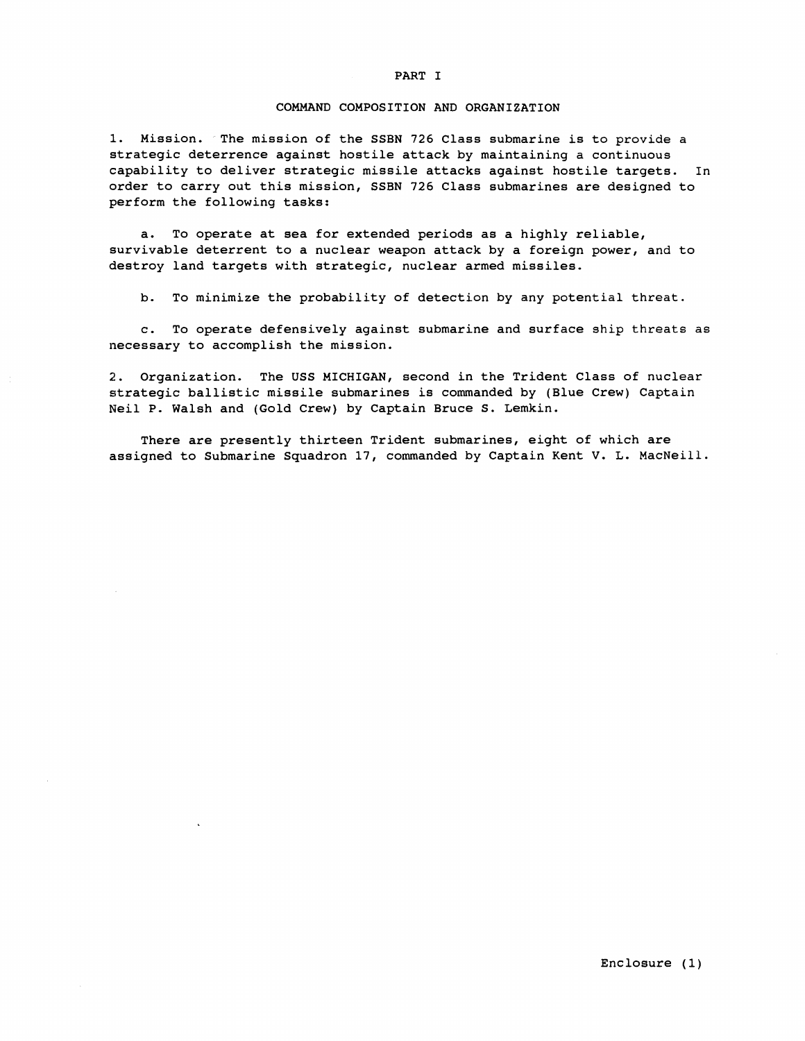## COMMAND COMPOSITION AND ORGANIZATION

1. Mission. The mission of the SSBN 726 Class submarine is to provide a strategic deterrence against hostile attack by maintaining a continuous capability to deliver strategic missile attacks against hostile targets. In order to carry out this mission, SSBN 726 Class submarines are designed to perform the following tasks:

a. To operate at sea for extended periods as a highly reliable, survivable deterrent to a nuclear weapon attack by a foreign power, and to destroy land targets with strategic, nuclear armed missiles.

b. To minimize the probability of detection by any potential threat.

c. To operate defensively against submarine and surface ship threats as necessary to accomplish the mission.

2. Organization. The USS MICHIGAN, second in the Trident Class of nuclear strategic ballistic missile submarines is commanded by (Blue Crew) Captain Neil P. Walsh and (Gold Crew) by Captain Bruce S. Lemkin.

There are presently thirteen Trident submarines, eight of which are assigned to Submarine Squadron 17, commanded by Captain Kent V. L. MacNeill.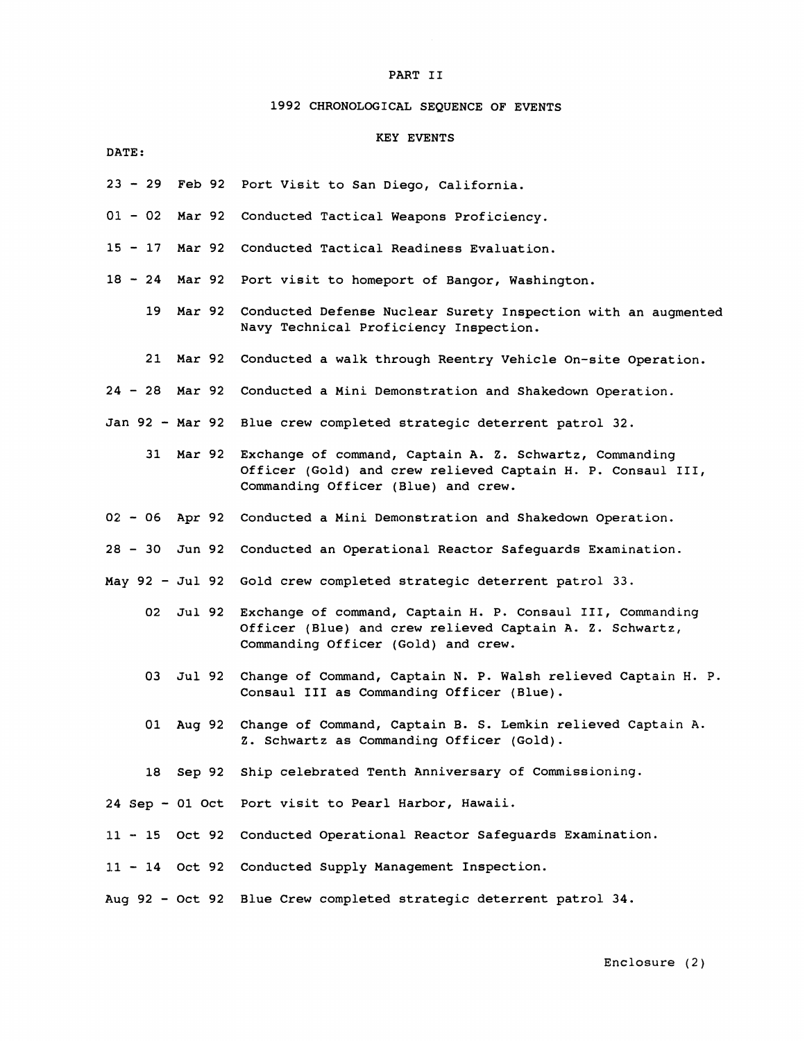# **1992** CHRONOLOGICAL SEQUENCE OF EVENTS

# KEY EVENTS

- DATE :
- **<sup>23</sup> 29** Feb **<sup>92</sup>** Port Visit to San Diego, California.
- <sup>01</sup> **02** Mar **<sup>92</sup>** Conducted Tactical Weapons Proficiency.
- **<sup>15</sup> 17** Mar **<sup>92</sup>** Conducted Tactical Readiness Evaluation.
- **18-24** Mar92 Port visit to homeport of Bangor, Washington.
	- **19** Mar **92**  Conducted Defense Nuclear Surety Inspection with an augmented Navy Technical Proficiency Inspection.
	- **21** Mar **92**  Conducted a walk through Reentry Vehicle On-site Operation.
- **<sup>24</sup> 28** Mar **<sup>92</sup>** Conducted a Mini Demonstration and Shakedown Operation.
- Jan **92**  Mar **<sup>92</sup>** Blue crew completed strategic deterrent patrol **32.** 
	- **31** Mar **92**  Exchange of command, captain A. Z. Schwartz, Commanding Officer (Gold) and crew relieved Captain H. P. Consaul 111, Commanding Officer (Blue) and crew.
- **<sup>02</sup> 06** Apr **<sup>92</sup>** Conducted a Mini Demonstration and Shakedown Operation.
- **<sup>28</sup> 30** Jun **<sup>92</sup>** Conducted an Operational Reactor Safeguards Examination.
- May **92**  Jul **<sup>92</sup>** Gold crew completed strategic deterrent patrol **33.** 
	- **02** Jul **92**  Exchange of command, Captain H. P. Consaul 111, Commanding Officer (Blue) and crew relieved Captain **A.** Z. Schwartz, Commanding Officer (Gold) and crew.
	- 03 Jul **92**  Change of Command, Captain N. P. Walsh relieved Captain H. P. Consaul **111** as Commanding Officer (Blue).
	- **01** Aug **92**  Change of Command, Captain **B.** S. Lemkin relieved Captain A. Z. Schwartz as Commanding Officer (Gold).
	- **18** Sep **92**  Ship celebrated Tenth Anniversary of Commissioning.

**<sup>24</sup>**Sep - **01** Oct Port visit to Pearl Harbor, Hawaii.

- **11 15** Oct **<sup>92</sup>** Conducted Operational Reactor Safeguards Examination.
- **1.1 14** Oct **<sup>92</sup>** Conducted Supply Management Inspection.

Aug **92** - Oct **<sup>92</sup>** Blue Crew completed strategic deterrent patrol **34.**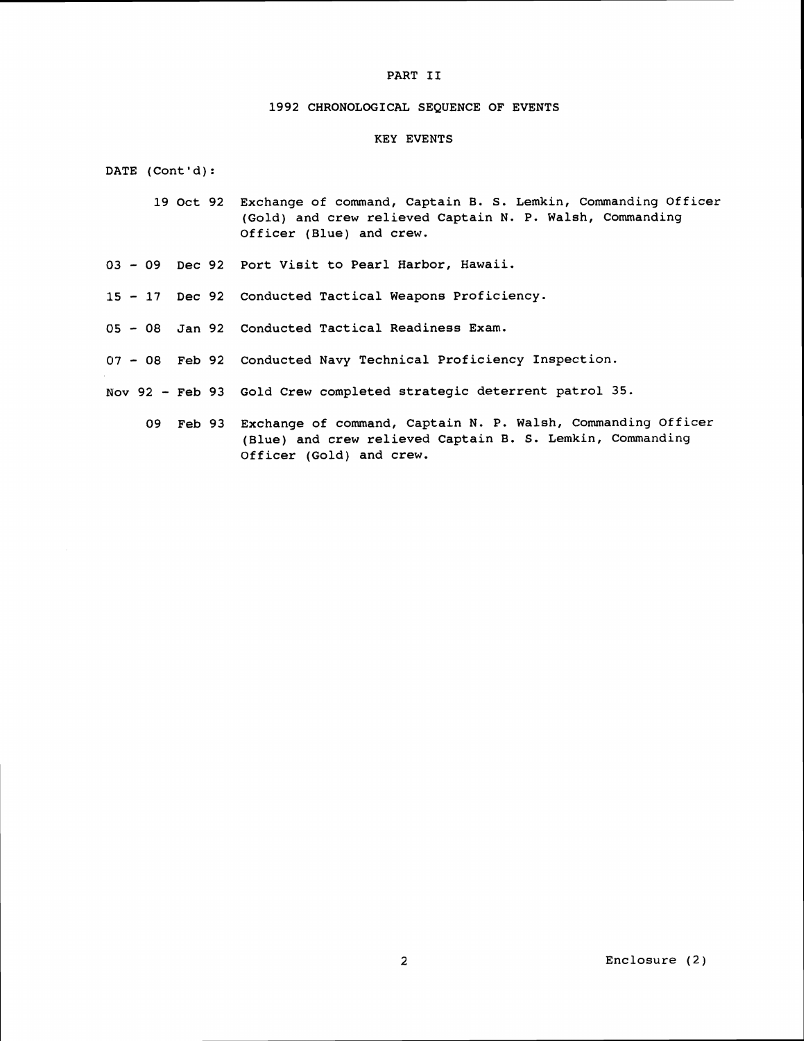#### **1992** CHRONOLOGICAL SEQUENCE OF EVENTS

## KEY EVENTS

DATE (Cont'd):

- **19** Oct **92** Exchange of command, Captain B. S. Lemkin, Commanding Officer (Gold) and crew relieved Captain N. P. Walsh, Commanding Officer (Blue) and crew.
- **<sup>03</sup> 09** Dec **92** Port Visit to Pearl Harbor, Hawaii.
- **<sup>15</sup> 17** Dec **92** Conducted Tactical Weapons Proficiency.
- **<sup>05</sup> 08** Jan **92** Conducted Tactical Readiness Exam.
- **<sup>07</sup> 08** Feb **92** Conducted Navy Technical Proficiency Inspection.
- Nov **92**  Feb **93** Gold Crew completed strategic deterrent patrol 35.
	- **09** Feb **93** Exchange of command, Captain N. P. Walsh, Commanding Officer (Blue) and crew relieved Captain B. S. Lemkin, Commanding Officer (Gold) and crew.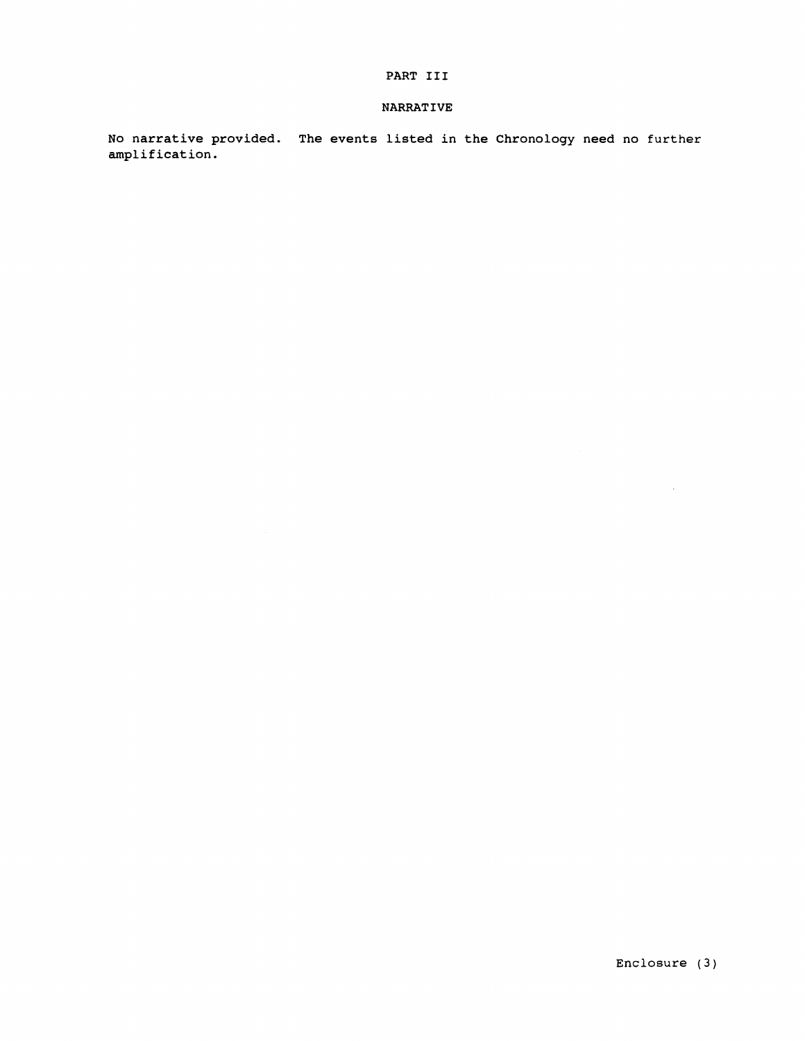# **NARRATIVE**

No narrative provided. The events listed in the Chronology need no further amplification.

 $\alpha$  .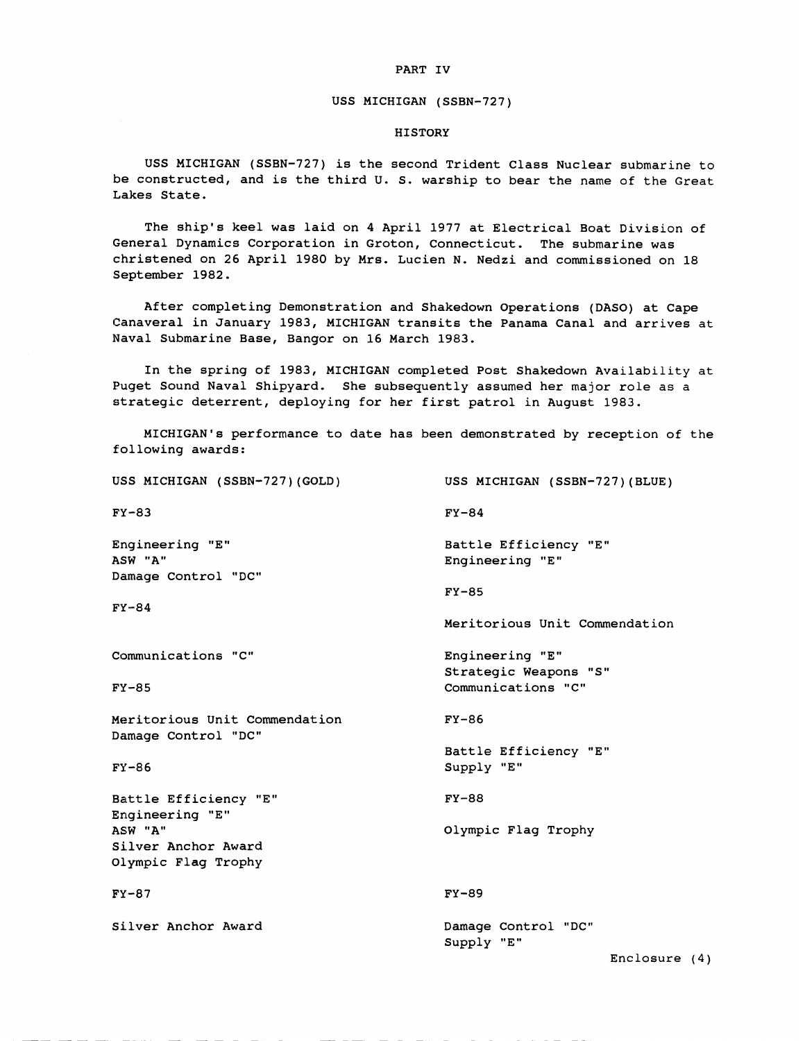# USS MICHIGAN (SSBM-727)

### HISTORY

USS MICHIGAN (SSBN-727) is the second Trident Class Nuclear submarine to be constructed, and is the third U. S. warship to bear the name of the Great Lakes State.

The ship's keel was laid on 4 April 1977 at Electrical Boat Division of General Dynamics Corporation in Groton, Connecticut. The submarine was christened on 26 April 1980 by Mrs. Lucien N. Nedzi and commissioned on 18 September 1982.

After completing Demonstration and Shakedown Operations (DASO) at Cape Canaveral in January 1983, MICHIGAN transits the Panama Canal and arrives at Naval Submarine Base, Bangor on 16 March 1983.

In the spring of 1983, MICHIGAN completed Post Shakedown Availability at Puget Sound Naval Shipyard. She subsequently assumed her major role as a strategic deterrent, deploying for her first patrol in August 1983.

MICHIGAN'S performance to date has been demonstrated by reception of the following awards:

| USS MICHIGAN (SSBN-727)(GOLD)                                   | USS MICHIGAN (SSBN-727)(BLUE)                           |
|-----------------------------------------------------------------|---------------------------------------------------------|
| <b>FY-83</b>                                                    | $FY-84$                                                 |
| <b>Engineering "E"</b><br><b>ASW "A"</b><br>Damage Control "DC" | Battle Efficiency "E"<br>Engineering "E"                |
| <b>FY-84</b>                                                    | $FY-85$<br>Meritorious Unit Commendation                |
| Communications "C"                                              | Engineering "E"<br>Strategic Weapons "S"                |
| <b>FY-85</b>                                                    | Communications "C"                                      |
| Meritorious Unit Commendation<br>Damage Control "DC"            | $FY-86$                                                 |
| FY-86                                                           | Battle Efficiency "E"<br>Supply "E"                     |
| Battle Efficiency "E"<br><b>Engineering "E"</b>                 | $FY-88$                                                 |
| <b>ASW "A"</b><br>Silver Anchor Award<br>Olympic Flag Trophy    | Olympic Flag Trophy                                     |
| <b>FY-87</b>                                                    | $FY-89$                                                 |
| Silver Anchor Award                                             | Damage Control "DC"<br>Supply "E"<br>Findo <sub>2</sub> |

Enclosure (4)